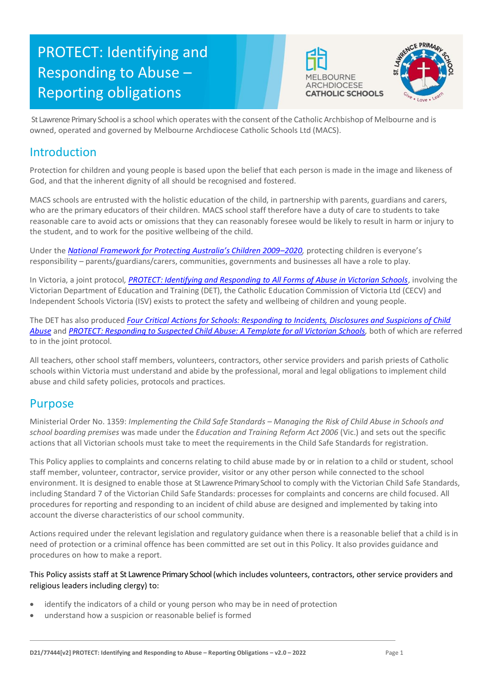# PROTECT: Identifying and Responding to Abuse – Reporting obligations





St Lawrence Primary School is a school which operates with the consent of the Catholic Archbishop of Melbourne and is owned, operated and governed by Melbourne Archdiocese Catholic Schools Ltd (MACS).

# Introduction

Protection for children and young people is based upon the belief that each person is made in the image and likeness of God, and that the inherent dignity of all should be recognised and fostered.

MACS schools are entrusted with the holistic education of the child, in partnership with parents, guardians and carers, who are the primary educators of their children. MACS school staff therefore have a duty of care to students to take reasonable care to avoid acts or omissions that they can reasonably foresee would be likely to result in harm or injury to the student, and to work for the positive wellbeing of the child.

Under the *[National Framework for Protecting Australia's Children 2009–](https://www.dss.gov.au/our-responsibilities/families-and-children/publications-articles/protecting-children-is-everyones-business)202[0,](https://www.dss.gov.au/our-responsibilities/families-and-children/publications-articles/protecting-children-is-everyones-business)* protecting children is everyone's responsibility – parents/guardians/carers, communities, governments and businesses all have a role to play.

In Victoria, a joint protocol*, [PROTECT: Identifying and Responding to All Forms of Abuse in Victorian Schools](http://www.education.vic.gov.au/Documents/about/programs/health/protect/ChildSafeStandard5_SchoolsGuide.pdf)*[, i](http://www.education.vic.gov.au/Documents/about/programs/health/protect/ChildSafeStandard5_SchoolsGuide.pdf)nvolving the Victorian Department of Education and Training (DET), the Catholic Education Commission of Victoria Ltd (CECV) and Independent Schools Victoria (ISV) exists to protect the safety and wellbeing of children and young people.

The DET has also produced *[Four Critical Actions for Schools: Responding to Incidents, Disclosures and Suspicions of Child](http://www.education.vic.gov.au/Documents/about/programs/health/protect/FourCriticalActions_ChildAbuse.pdf)  [Abuse](http://www.education.vic.gov.au/Documents/about/programs/health/protect/FourCriticalActions_ChildAbuse.pdf)* and *[PROTECT: Responding to Suspected Child Abuse: A Template for all Victorian Schools,](http://www.education.vic.gov.au/Documents/about/programs/health/protect/PROTECT_Responding_TemplateSchools.pdf)* both of which are referred to in the joint protocol.

All teachers, other school staff members, volunteers, contractors, other service providers and parish priests of Catholic schools within Victoria must understand and abide by the professional, moral and legal obligations to implement child abuse and child safety policies, protocols and practices.

# Purpose

Ministerial Order No. 1359: *Implementing the Child Safe Standards – Managing the Risk of Child Abuse in Schools and school boarding premises* was made under the *Education and Training Reform Act 2006* (Vic.) and sets out the specific actions that all Victorian schools must take to meet the requirements in the Child Safe Standards for registration.

This Policy applies to complaints and concerns relating to child abuse made by or in relation to a child or student, school staff member, volunteer, contractor, service provider, visitor or any other person while connected to the school environment. It is designed to enable those at St Lawrence Primary School to comply with the Victorian Child Safe Standards, including Standard 7 of the Victorian Child Safe Standards: processes for complaints and concerns are child focused. All procedures for reporting and responding to an incident of child abuse are designed and implemented by taking into account the diverse characteristics of our school community.

Actions required under the relevant legislation and regulatory guidance when there is a reasonable belief that a child is in need of protection or a criminal offence has been committed are set out in this Policy. It also provides guidance and procedures on how to make a report.

This Policy assists staff at St Lawrence Primary School (which includes volunteers, contractors, other service providers and religious leaders including clergy) to:

- identify the indicators of a child or young person who may be in need of protection
- understand how a suspicion or reasonable belief is formed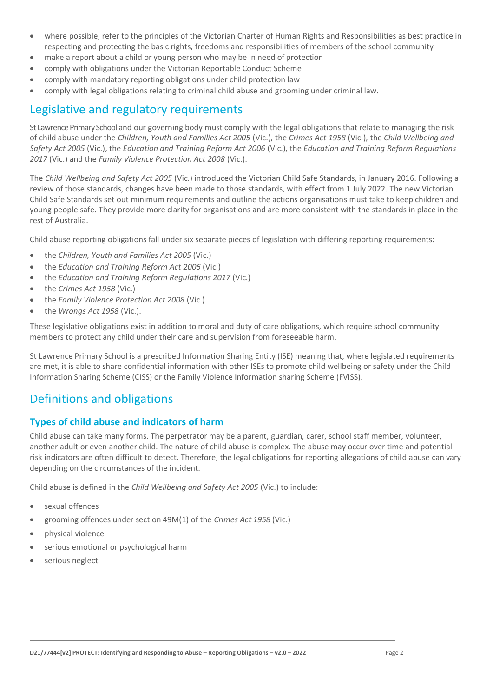- where possible, refer to the principles of the Victorian Charter of Human Rights and Responsibilities as best practice in respecting and protecting the basic rights, freedoms and responsibilities of members of the school community
- make a report about a child or young person who may be in need of protection
- comply with obligations under the Victorian Reportable Conduct Scheme
- comply with mandatory reporting obligations under child protection law
- comply with legal obligations relating to criminal child abuse and grooming under criminal law.

# Legislative and regulatory requirements

St Lawrence Primary School and our governing body must comply with the legal obligations that relate to managing the risk of child abuse under the *Children, Youth and Families Act 2005* (Vic.), the *Crimes Act 1958* (Vic.), the *Child Wellbeing and Safety Act 2005* (Vic.), the *Education and Training Reform Act 2006* (Vic.), the *Education and Training Reform Regulations 2017* (Vic.) and the *Family Violence Protection Act 2008* (Vic.).

The *Child Wellbeing and Safety Act 2005* (Vic.) introduced the Victorian Child Safe Standards, in January 2016. Following a review of those standards, changes have been made to those standards, with effect from 1 July 2022. The new Victorian Child Safe Standards set out minimum requirements and outline the actions organisations must take to keep children and young people safe. They provide more clarity for organisations and are more consistent with the standards in place in the rest of Australia.

Child abuse reporting obligations fall under six separate pieces of legislation with differing reporting requirements:

- the *Children, Youth and Families Act 2005* (Vic.)
- the *Education and Training Reform Act 2006* (Vic.)
- the *Education and Training Reform Regulations 2017* (Vic.)
- the *Crimes Act 1958* (Vic.)
- the *Family Violence Protection Act 2008* (Vic.)
- the *Wrongs Act 1958* (Vic.).

These legislative obligations exist in addition to moral and duty of care obligations, which require school community members to protect any child under their care and supervision from foreseeable harm.

St Lawrence Primary School is a prescribed Information Sharing Entity (ISE) meaning that, where legislated requirements are met, it is able to share confidential information with other ISEs to promote child wellbeing or safety under the Child Information Sharing Scheme (CISS) or the Family Violence Information sharing Scheme (FVISS).

# Definitions and obligations

# **Types of child abuse and indicators of harm**

Child abuse can take many forms. The perpetrator may be a parent, guardian, carer, school staff member, volunteer, another adult or even another child. The nature of child abuse is complex. The abuse may occur over time and potential risk indicators are often difficult to detect. Therefore, the legal obligations for reporting allegations of child abuse can vary depending on the circumstances of the incident.

Child abuse is defined in the *Child Wellbeing and Safety Act 2005* (Vic.) to include:

- sexual offences
- grooming offences under section 49M(1) of the *Crimes Act 1958* (Vic.)
- physical violence
- serious emotional or psychological harm
- serious neglect.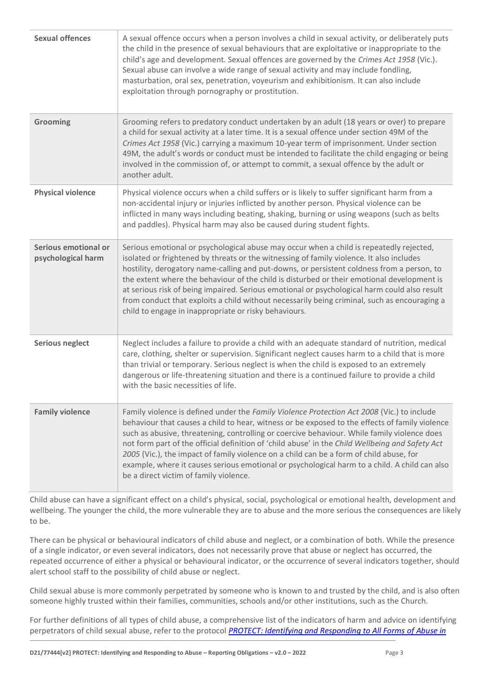| <b>Sexual offences</b>                     | A sexual offence occurs when a person involves a child in sexual activity, or deliberately puts<br>the child in the presence of sexual behaviours that are exploitative or inappropriate to the<br>child's age and development. Sexual offences are governed by the Crimes Act 1958 (Vic.).<br>Sexual abuse can involve a wide range of sexual activity and may include fondling,<br>masturbation, oral sex, penetration, voyeurism and exhibitionism. It can also include<br>exploitation through pornography or prostitution.                                                                                                          |
|--------------------------------------------|------------------------------------------------------------------------------------------------------------------------------------------------------------------------------------------------------------------------------------------------------------------------------------------------------------------------------------------------------------------------------------------------------------------------------------------------------------------------------------------------------------------------------------------------------------------------------------------------------------------------------------------|
| Grooming                                   | Grooming refers to predatory conduct undertaken by an adult (18 years or over) to prepare<br>a child for sexual activity at a later time. It is a sexual offence under section 49M of the<br>Crimes Act 1958 (Vic.) carrying a maximum 10-year term of imprisonment. Under section<br>49M, the adult's words or conduct must be intended to facilitate the child engaging or being<br>involved in the commission of, or attempt to commit, a sexual offence by the adult or<br>another adult.                                                                                                                                            |
| <b>Physical violence</b>                   | Physical violence occurs when a child suffers or is likely to suffer significant harm from a<br>non-accidental injury or injuries inflicted by another person. Physical violence can be<br>inflicted in many ways including beating, shaking, burning or using weapons (such as belts<br>and paddles). Physical harm may also be caused during student fights.                                                                                                                                                                                                                                                                           |
| Serious emotional or<br>psychological harm | Serious emotional or psychological abuse may occur when a child is repeatedly rejected,<br>isolated or frightened by threats or the witnessing of family violence. It also includes<br>hostility, derogatory name-calling and put-downs, or persistent coldness from a person, to<br>the extent where the behaviour of the child is disturbed or their emotional development is<br>at serious risk of being impaired. Serious emotional or psychological harm could also result<br>from conduct that exploits a child without necessarily being criminal, such as encouraging a<br>child to engage in inappropriate or risky behaviours. |
| <b>Serious neglect</b>                     | Neglect includes a failure to provide a child with an adequate standard of nutrition, medical<br>care, clothing, shelter or supervision. Significant neglect causes harm to a child that is more<br>than trivial or temporary. Serious neglect is when the child is exposed to an extremely<br>dangerous or life-threatening situation and there is a continued failure to provide a child<br>with the basic necessities of life.                                                                                                                                                                                                        |
| <b>Family violence</b>                     | Family violence is defined under the Family Violence Protection Act 2008 (Vic.) to include<br>behaviour that causes a child to hear, witness or be exposed to the effects of family violence<br>such as abusive, threatening, controlling or coercive behaviour. While family violence does<br>not form part of the official definition of 'child abuse' in the Child Wellbeing and Safety Act<br>2005 (Vic.), the impact of family violence on a child can be a form of child abuse, for<br>example, where it causes serious emotional or psychological harm to a child. A child can also<br>be a direct victim of family violence.     |

Child abuse can have a significant effect on a child's physical, social, psychological or emotional health, development and wellbeing. The younger the child, the more vulnerable they are to abuse and the more serious the consequences are likely to be.

There can be physical or behavioural indicators of child abuse and neglect, or a combination of both. While the presence of a single indicator, or even several indicators, does not necessarily prove that abuse or neglect has occurred, the repeated occurrence of either a physical or behavioural indicator, or the occurrence of several indicators together, should alert school staff to the possibility of child abuse or neglect.

Child sexual abuse is more commonly perpetrated by someone who is known to and trusted by the child, and is also often someone highly trusted within their families, communities, schools and/or other institutions, such as the Church.

For further definitions of all types of child abuse, a comprehensive list of the indicators of harm and advice on identifying perpetrators of child sexual abuse, refer to the protocol *[PROTECT: Identifying and Responding to All Forms](https://www.education.vic.gov.au/Documents/about/programs/health/protect/ChildSafeStandard5_SchoolsGuide.pdf) of Abuse in*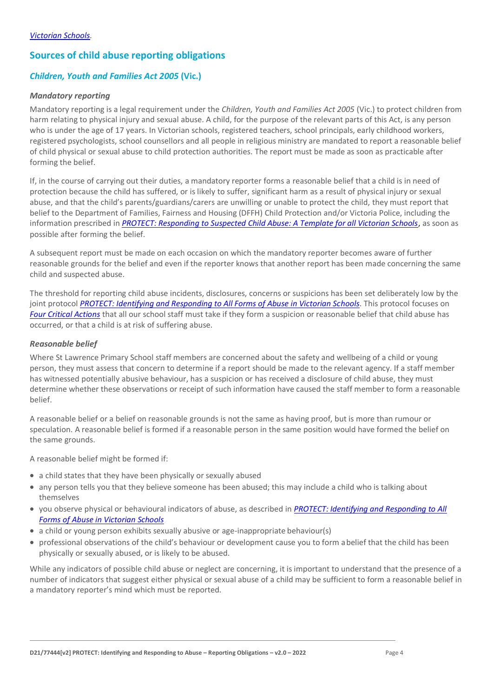# **Sources of child abuse reporting obligations**

# *Children, Youth and Families Act 2005* **(Vic.)**

#### *Mandatory reporting*

Mandatory reporting is a legal requirement under the *Children, Youth and Families Act 2005* (Vic.) to protect children from harm relating to physical injury and sexual abuse. A child, for the purpose of the relevant parts of this Act, is any person who is under the age of 17 years. In Victorian schools, registered teachers, school principals, early childhood workers, registered psychologists, school counsellors and all people in religious ministry are mandated to report a reasonable belief of child physical or sexual abuse to child protection authorities. The report must be made as soon as practicable after forming the belief.

If, in the course of carrying out their duties, a mandatory reporter forms a reasonable belief that a child is in need of protection because the child has suffered, or is likely to suffer, significant harm as a result of physical injury or sexual abuse, and that the child's parents/guardians/carers are unwilling or unable to protect the child, they must report that belief to the Department of Families, Fairness and Housing (DFFH) Child Protection and/or Victoria Police, including the information prescribed in *[PROTECT: Responding to Suspected Child Abuse: A Template for all Victorian Schools](http://www.education.vic.gov.au/Documents/about/programs/health/protect/PROTECT_Responding_TemplateSchools.pdf)*, as soon as possible after forming the belief.

A subsequent report must be made on each occasion on which the mandatory reporter becomes aware of further reasonable grounds for the belief and even if the reporter knows that another report has been made concerning the same child and suspected abuse.

The threshold for reporting child abuse incidents, disclosures, concerns or suspicions has been set deliberately low by the joint protocol *[PROTECT: Identifying and Responding to All Forms of Abuse in Victorian Schools](http://www.education.vic.gov.au/Documents/about/programs/health/protect/ChildSafeStandard5_SchoolsGuide.pdf)*[. T](http://www.education.vic.gov.au/Documents/about/programs/health/protect/ChildSafeStandard5_SchoolsGuide.pdf)his protocol focuses on *[Four Critical Actions](http://www.education.vic.gov.au/Documents/about/programs/health/protect/FourCriticalActions_ChildAbuse.pdf)* that all our school staff must take if they form a suspicion or reasonable belief that child abuse has occurred, or that a child is at risk of suffering abuse.

#### <span id="page-3-0"></span>*Reasonable belief*

Where St Lawrence Primary School staff members are concerned about the safety and wellbeing of a child or young person, they must assess that concern to determine if a report should be made to the relevant agency. If a staff member has witnessed potentially abusive behaviour, has a suspicion or has received a disclosure of child abuse, they must determine whether these observations or receipt of such information have caused the staff member to form a reasonable belief.

A reasonable belief or a belief on reasonable grounds is not the same as having proof, but is more than rumour or speculation. A reasonable belief is formed if a reasonable person in the same position would have formed the belief on the same grounds.

A reasonable belief might be formed if:

- a child states that they have been physically or sexually abused
- any person tells you that they believe someone has been abused; this may include a child who is talking about themselves
- you observe physical or behavioural indicators of abuse, as described in *[PROTECT: Identifying and Responding to All](http://www.education.vic.gov.au/Documents/about/programs/health/protect/ChildSafeStandard5_SchoolsGuide.pdf)  [Forms of Abuse in Victorian Schools](http://www.education.vic.gov.au/Documents/about/programs/health/protect/ChildSafeStandard5_SchoolsGuide.pdf)*
- a child or young person exhibits sexually abusive or age-inappropriate behaviour(s)
- professional observations of the child's behaviour or development cause you to form abelief that the child has been physically or sexually abused, or is likely to be abused.

While any indicators of possible child abuse or neglect are concerning, it is important to understand that the presence of a number of indicators that suggest either physical or sexual abuse of a child may be sufficient to form a reasonable belief in a mandatory reporter's mind which must be reported.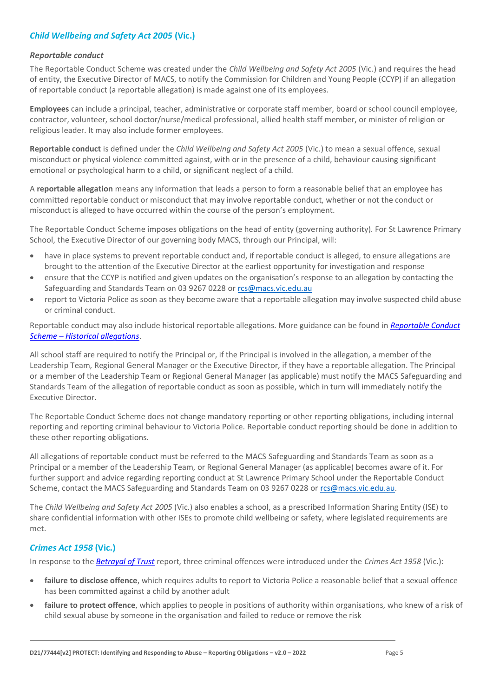# *Child Wellbeing and Safety Act 2005* **(Vic.)**

#### *Reportable conduct*

The Reportable Conduct Scheme was created under the *Child Wellbeing and Safety Act 2005* (Vic.) and requires the head of entity, the Executive Director of MACS, to notify the Commission for Children and Young People (CCYP) if an allegation of reportable conduct (a reportable allegation) is made against one of its employees.

**Employees** can include a principal, teacher, administrative or corporate staff member, board or school council employee, contractor, volunteer, school doctor/nurse/medical professional, allied health staff member, or minister of religion or religious leader. It may also include former employees.

**Reportable conduct** is defined under the *Child Wellbeing and Safety Act 2005* (Vic.) to mean a sexual offence, sexual misconduct or physical violence committed against, with or in the presence of a child, behaviour causing significant emotional or psychological harm to a child, or significant neglect of a child.

A **reportable allegation** means any information that leads a person to form a reasonable belief that an employee has committed reportable conduct or misconduct that may involve reportable conduct, whether or not the conduct or misconduct is alleged to have occurred within the course of the person's employment.

The Reportable Conduct Scheme imposes obligations on the head of entity (governing authority). For St Lawrence Primary School, the Executive Director of our governing body MACS, through our Principal, will:

- have in place systems to prevent reportable conduct and, if reportable conduct is alleged, to ensure allegations are brought to the attention of the Executive Director at the earliest opportunity for investigation and response
- ensure that the CCYP is notified and given updates on the organisation's response to an allegation by contacting the Safeguarding and Standards Team on 03 9267 0228 or [rcs@macs.vic.edu.au](mailto:rcs@macs.vic.edu.au)
- report to Victoria Police as soon as they become aware that a reportable allegation may involve suspected child abuse or criminal conduct.

Reportable conduct may also include historical reportable allegations. More guidance can be found in *[Reportable Conduct](https://ccyp.vic.gov.au/assets/resources/RCSInfoSheetUpdates/Historical-Allegations-110718.pdf)  Scheme – [Historical allegations](https://ccyp.vic.gov.au/assets/resources/RCSInfoSheetUpdates/Historical-Allegations-110718.pdf)*.

All school staff are required to notify the Principal or, if the Principal is involved in the allegation, a member of the Leadership Team, Regional General Manager or the Executive Director, if they have a reportable allegation. The Principal or a member of the Leadership Team or Regional General Manager (as applicable) must notify the MACS Safeguarding and Standards Team of the allegation of reportable conduct as soon as possible, which in turn will immediately notify the Executive Director.

The Reportable Conduct Scheme does not change mandatory reporting or other reporting obligations, including internal reporting and reporting criminal behaviour to Victoria Police. Reportable conduct reporting should be done in addition to these other reporting obligations.

All allegations of reportable conduct must be referred to the MACS Safeguarding and Standards Team as soon as a Principal or a member of the Leadership Team, or Regional General Manager (as applicable) becomes aware of it. For further support and advice regarding reporting conduct at St Lawrence Primary School under the Reportable Conduct Scheme, contact the MACS Safeguarding and Standards Team on 03 9267 0228 o[r rcs@macs.vic.edu.au.](mailto:rcs@macs.vic.edu.au)

The *Child Wellbeing and Safety Act 2005* (Vic.) also enables a school, as a prescribed Information Sharing Entity (ISE) to share confidential information with other ISEs to promote child wellbeing or safety, where legislated requirements are met.

# *Crimes Act 1958* **(Vic.)**

In response to the *[Betrayal of Trust](http://www.parliament.vic.gov.au/file_uploads/Inquiry_into_Handling_of_Abuse_Volume_2_FINAL_web_y78t3Wpb.pdf)* report, three criminal offences were introduced under the *Crimes Act 1958* (Vic.):

- **[failure to disclose offence](http://www.justice.vic.gov.au/home/safer%2Bcommunities/protecting%2Bchildren%2Band%2Bfamilies/failure%2Bto%2Bdisclose%2Boffence)**, which requires adults to report to Victoria Police a reasonable belief that a sexual offence has been committed against a child by another adult
- [failure to protect offence](http://www.justice.vic.gov.au/home/safer%2Bcommunities/protecting%2Bchildren%2Band%2Bfamilies/failure%2Bto%2Bprotect%2Boffence), which applies to people in positions of authority within organisations, who knew of a risk of child sexual abuse by someone in the organisation and failed to reduce or remove the risk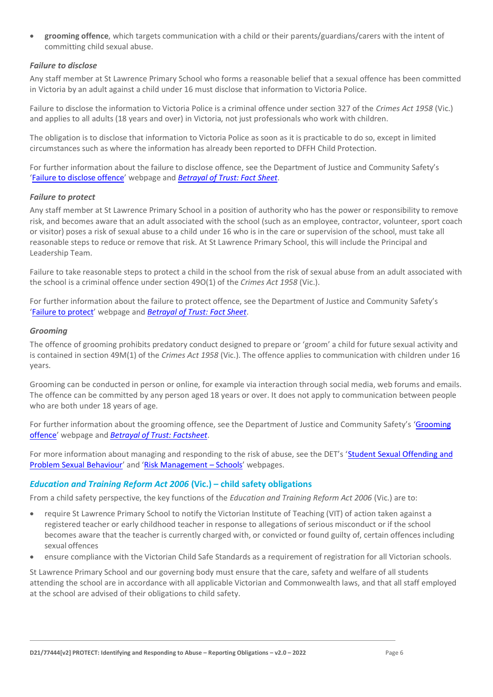• **[grooming offence](http://www.justice.vic.gov.au/home/safer%2Bcommunities/protecting%2Bchildren%2Band%2Bfamilies/grooming%2Boffence)**, which targets communication with a child or their parents/guardians/carers with the intent of committing child sexual abuse.

### <span id="page-5-0"></span>*Failure to disclose*

Any staff member at St Lawrence Primary School who forms a reasonable belief that a sexual offence has been committed in Victoria by an adult against a child under 16 must disclose that information to Victoria Police.

Failure to disclose the information to Victoria Police is a criminal offence under section 327 of the *Crimes Act 1958* (Vic.) and applies to all adults (18 years and over) in Victoria, not just professionals who work with children.

The obligation is to disclose that information to Victoria Police as soon as it is practicable to do so, except in limited circumstances such as where the information has already been reported to DFFH Child Protection.

For further information about the failure to disclose offence, see the Department of Justice and Community Safety's '[Failure to disclose offence](https://www.justice.vic.gov.au/safer-communities/protecting-children-and-families/failure-to-disclose-offence)' webpage and *[Betrayal of Trust: Fact Sheet](https://www.justice.vic.gov.au/sites/default/files/embridge_cache/emshare/original/public/2020/06/c5/7f42d28f3/betrayal_of_trust-organisational_duty_fact_sheet_2018%20.doc)*.

#### *Failure to protect*

Any staff member at St Lawrence Primary School in a position of authority who has the power or responsibility to remove risk, and becomes aware that an adult associated with the school (such as an employee, contractor, volunteer, sport coach or visitor) poses a risk of sexual abuse to a child under 16 who is in the care or supervision of the school, must take all reasonable steps to reduce or remove that risk. At St Lawrence Primary School, this will include the Principal and Leadership Team.

Failure to take reasonable steps to protect a child in the school from the risk of sexual abuse from an adult associated with the school is a criminal offence under section 49O(1) of the *Crimes Act 1958* (Vic.).

For further information about the failure to protect offence, see the Department of Justice and Community Safety's '[Failure to protect](https://www.justice.vic.gov.au/safer-communities/protecting-children-and-families/failure-to-protect-a-new-criminal-offence-to)' webpage and *[Betrayal of Trust: Fact Sheet](https://www.justice.vic.gov.au/sites/default/files/embridge_cache/emshare/original/public/2020/06/e0/4460c5147/failure_to_protect_betrayal_of_trust_factsheet_2017.pdf)*.

#### *Grooming*

The offence of grooming prohibits predatory conduct designed to prepare or 'groom' a child for future sexual activity and is contained in section 49M(1) of the *Crimes Act 1958* (Vic.). The offence applies to communication with children under 16 years.

Grooming can be conducted in person or online, for example via interaction through social media, web forums and emails. The offence can be committed by any person aged 18 years or over. It does not apply to communication between people who are both under 18 years of age.

For further information about the grooming offence, see the Department of Justice and Community Safety's 'Grooming [offence](https://www.justice.vic.gov.au/safer-communities/protecting-children-and-families/grooming-offence)' webpage and *[Betrayal of Trust: Factsheet](https://www.justice.vic.gov.au/sites/default/files/embridge_cache/emshare/original/public/2020/06/e6/ea73d4b66/grooming_betrayal_of_trust_factsheet_2017.pdf)*.

For more information about managing and responding to the risk of abuse, see the DET's 'Student Sexual Offending and [Problem Sexual Behaviour](https://www2.education.vic.gov.au/pal/student-sexual-behaviours/policy)' and '[Risk Management](https://www2.education.vic.gov.au/pal/risk-management-schools/policy) – Schools' webpages.

# *Education and Training Reform Act 2006* **(Vic.) – child safety obligations**

From a child safety perspective, the key functions of the *Education and Training Reform Act 2006* (Vic.) are to:

- require St Lawrence Primary School to notify the Victorian Institute of Teaching (VIT) of action taken against a registered teacher or early childhood teacher in response to allegations of serious misconduct or if the school becomes aware that the teacher is currently charged with, or convicted or found guilty of, certain offences including sexual offences
- ensure compliance with the Victorian Child Safe Standards as a requirement of registration for all Victorian schools.

St Lawrence Primary School and our governing body must ensure that the care, safety and welfare of all students attending the school are in accordance with all applicable Victorian and Commonwealth laws, and that all staff employed at the school are advised of their obligations to child safety.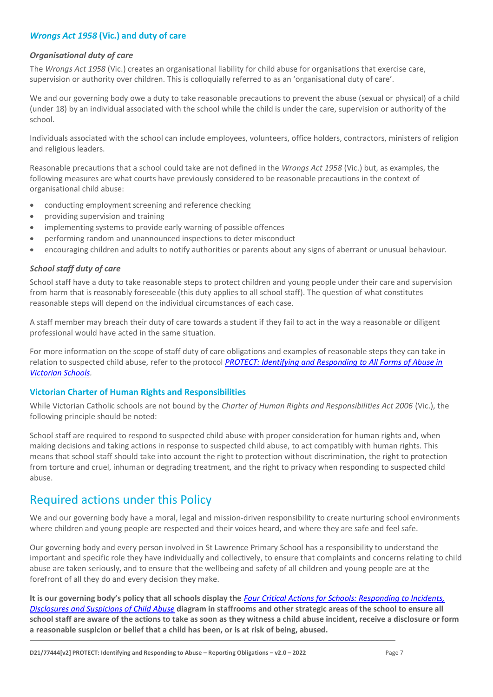# *Wrongs Act 1958* **(Vic.) and duty of care**

#### *Organisational duty of care*

The *Wrongs Act 1958* (Vic.) creates an organisational liability for child abuse for organisations that exercise care, supervision or authority over children. This is colloquially referred to as an 'organisational duty of care'.

We and our governing body owe a duty to take reasonable precautions to prevent the abuse (sexual or physical) of a child (under 18) by an individual associated with the school while the child is under the care, supervision or authority of the school.

Individuals associated with the school can include employees, volunteers, office holders, contractors, ministers of religion and religious leaders.

Reasonable precautions that a school could take are not defined in the *Wrongs Act 1958* (Vic.) but, as examples, the following measures are what courts have previously considered to be reasonable precautions in the context of organisational child abuse:

- conducting employment screening and reference checking
- providing supervision and training
- implementing systems to provide early warning of possible offences
- performing random and unannounced inspections to deter misconduct
- encouraging children and adults to notify authorities or parents about any signs of aberrant or unusual behaviour.

### *School staff duty of care*

School staff have a duty to take reasonable steps to protect children and young people under their care and supervision from harm that is reasonably foreseeable (this duty applies to all school staff). The question of what constitutes reasonable steps will depend on the individual circumstances of each case.

A staff member may breach their duty of care towards a student if they fail to act in the way a reasonable or diligent professional would have acted in the same situation.

For more information on the scope of staff duty of care obligations and examples of reasonable steps they can take in relation to suspected child abuse, refer to the protocol *[PROTECT: Identifying and Responding to All Forms of Abuse in](http://www.education.vic.gov.au/Documents/about/programs/health/protect/ChildSafeStandard5_SchoolsGuide.pdf)  [Victorian Schools.](http://www.education.vic.gov.au/Documents/about/programs/health/protect/ChildSafeStandard5_SchoolsGuide.pdf)*

#### **Victorian Charter of Human Rights and Responsibilities**

While Victorian Catholic schools are not bound by the *Charter of Human Rights and Responsibilities Act 2006* (Vic.), the following principle should be noted:

School staff are required to respond to suspected child abuse with proper consideration for human rights and, when making decisions and taking actions in response to suspected child abuse, to act compatibly with human rights. This means that school staff should take into account the right to protection without discrimination, the right to protection from torture and cruel, inhuman or degrading treatment, and the right to privacy when responding to suspected child abuse.

# Required actions under this Policy

We and our governing body have a moral, legal and mission-driven responsibility to create nurturing school environments where children and young people are respected and their voices heard, and where they are safe and feel safe.

Our governing body and every person involved in St Lawrence Primary School has a responsibility to understand the important and specific role they have individually and collectively, to ensure that complaints and concerns relating to child abuse are taken seriously, and to ensure that the wellbeing and safety of all children and young people are at the forefront of all they do and every decision they make.

**It is our governing body's policy that all schools display the** *[Four Critical Actions for Schools: Responding to Incidents,](http://www.education.vic.gov.au/Documents/about/programs/health/protect/FourCriticalActions_ChildAbuse.pdf)  [Disclosures and Suspicions of Child Abuse](http://www.education.vic.gov.au/Documents/about/programs/health/protect/FourCriticalActions_ChildAbuse.pdf)* **diagram in staffrooms and other strategic areas of the school to ensure all school staff are aware of the actions to take as soon as they witness a child abuse incident, receive a disclosure or form a reasonable suspicion or belief that a child has been, or is at risk of being, abused.**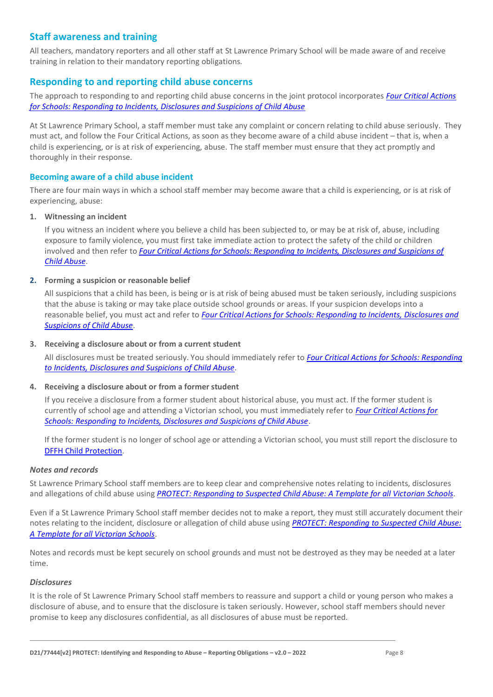# **Staff awareness and training**

All teachers, mandatory reporters and all other staff at St Lawrence Primary School will be made aware of and receive training in relation to their mandatory reporting obligations.

# **Responding to and reporting child abuse concerns**

The approach to responding to and reporting child abuse concerns in the joint protocol incorporates *[Four Critical Actions](http://www.education.vic.gov.au/Documents/about/programs/health/protect/FourCriticalActions_ChildAbuse.pdf)  [for Schools: Responding to Incidents, Disclosures and Suspicions of Child Abuse](http://www.education.vic.gov.au/Documents/about/programs/health/protect/FourCriticalActions_ChildAbuse.pdf)*

At St Lawrence Primary School, a staff member must take any complaint or concern relating to child abuse seriously. They must act, and follow the Four Critical Actions, as soon as they become aware of a child abuse incident – that is, when a child is experiencing, or is at risk of experiencing, abuse. The staff member must ensure that they act promptly and thoroughly in their response.

#### **Becoming aware of a child abuse incident**

There are four main ways in which a school staff member may become aware that a child is experiencing, or is at risk of experiencing, abuse:

#### **1. Witnessing an incident**

If you witness an incident where you believe a child has been subjected to, or may be at risk of, abuse, including exposure to family violence, you must first take immediate action to protect the safety of the child or children involved and then refer to *[Four Critical Actions for Schools: Responding to Incidents, Disclosures and Suspicions of](http://www.education.vic.gov.au/Documents/about/programs/health/protect/FourCriticalActions_ChildAbuse.pdf)  [Child Abuse](http://www.education.vic.gov.au/Documents/about/programs/health/protect/FourCriticalActions_ChildAbuse.pdf)*.

#### **2. Forming a suspicion or reasonable belief**

All suspicions that a child has been, is being or is at risk of being abused must be taken seriously, including suspicions that the abuse is taking or may take place outside school grounds or areas. If your suspicion develops into a reasonable belief, you must act and refer to *[Four Critical Actions for Schools: Responding to Incidents, Disclosures and](http://www.education.vic.gov.au/Documents/about/programs/health/protect/FourCriticalActions_ChildAbuse.pdf)  [Suspicions of Child Abuse](http://www.education.vic.gov.au/Documents/about/programs/health/protect/FourCriticalActions_ChildAbuse.pdf)*.

#### **3. Receiving a disclosure about or from a current student**

All disclosures must be treated seriously. You should immediately refer to *[Four Critical Actions for Schools: Responding](http://www.education.vic.gov.au/Documents/about/programs/health/protect/FourCriticalActions_ChildAbuse.pdf)  [to Incidents, Disclosures and Suspicions of Child Abuse](http://www.education.vic.gov.au/Documents/about/programs/health/protect/FourCriticalActions_ChildAbuse.pdf)*[.](http://www.education.vic.gov.au/Documents/about/programs/health/protect/FourCriticalActions_ChildAbuse.pdf)

#### **4. Receiving a disclosure about or from a former student**

If you receive a disclosure from a former student about historical abuse, you must act. If the former student is currently of school age and attending a Victorian school, you must immediately refer to *[Four Critical Actions for](http://www.education.vic.gov.au/Documents/about/programs/health/protect/FourCriticalActions_ChildAbuse.pdf)  [Schools: Responding to Incidents, Disclosures and Suspicions of Child Abuse](http://www.education.vic.gov.au/Documents/about/programs/health/protect/FourCriticalActions_ChildAbuse.pdf)*[.](http://www.education.vic.gov.au/Documents/about/programs/health/protect/FourCriticalActions_ChildAbuse.pdf)

If the former student is no longer of school age or attending a Victorian school, you must still report the disclosure to DFFH [Child Protection](https://www.education.vic.gov.au/about/contact/Pages/reportingabuse.aspx)[.](http://www.education.vic.gov.au/about/contact/Pages/reportingabuse.aspx?Redirect=1)

#### *Notes and records*

St Lawrence Primary School staff members are to keep clear and comprehensive notes relating to incidents, disclosures and allegations of child abuse using *[PROTECT: Responding to Suspected Child Abuse: A Template for all Victorian Schools](http://www.education.vic.gov.au/Documents/about/programs/health/protect/PROTECT_Responding_TemplateSchools.pdf)*.

Even if a St Lawrence Primary School staff member decides not to make a report, they must still accurately document their notes relating to the incident, disclosure or allegation of child abuse using *[PROTECT: Responding to Suspected Child Abuse:](http://www.education.vic.gov.au/Documents/about/programs/health/protect/PROTECT_Responding_TemplateSchools.pdf)  [A Template for all Victorian Schools](http://www.education.vic.gov.au/Documents/about/programs/health/protect/PROTECT_Responding_TemplateSchools.pdf)*.

Notes and records must be kept securely on school grounds and must not be destroyed as they may be needed at a later time.

#### *Disclosures*

It is the role of St Lawrence Primary School staff members to reassure and support a child or young person who makes a disclosure of abuse, and to ensure that the disclosure is taken seriously. However, school staff members should never promise to keep any disclosures confidential, as all disclosures of abuse must be reported.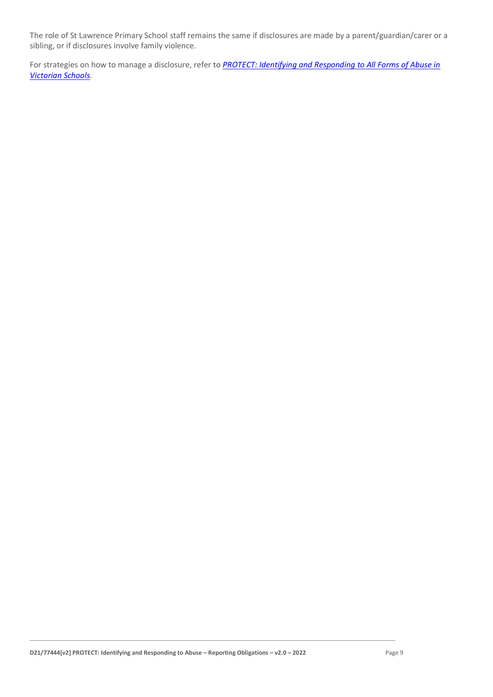The role of St Lawrence Primary School staff remains the same if disclosures are made by a parent/guardian/carer or a sibling, or if disclosures involve family violence.

For strategies on how to manage a disclosure, refer to *[PROTECT: Identifying and Responding to All Forms of Abuse in](http://www.education.vic.gov.au/Documents/about/programs/health/protect/ChildSafeStandard5_SchoolsGuide.pdf)  [Victorian Schools.](http://www.education.vic.gov.au/Documents/about/programs/health/protect/ChildSafeStandard5_SchoolsGuide.pdf)*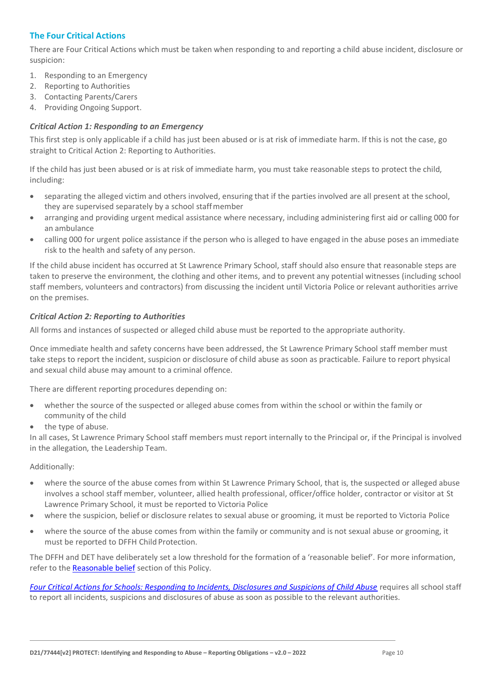# **The Four Critical Actions**

There are Four Critical Actions which must be taken when responding to and reporting a child abuse incident, disclosure or suspicion:

- 1. Responding to an Emergency
- 2. Reporting to Authorities
- 3. Contacting Parents/Carers
- 4. Providing Ongoing Support.

#### *Critical Action 1: Responding to an Emergency*

This first step is only applicable if a child has just been abused or is at risk of immediate harm. If this is not the case, go straight to Critical Action 2: Reporting to Authorities.

If the child has just been abused or is at risk of immediate harm, you must take reasonable steps to protect the child, including:

- separating the alleged victim and others involved, ensuring that if the parties involved are all present at the school, they are supervised separately by a school staffmember
- arranging and providing urgent medical assistance where necessary, including administering first aid or calling 000 for an ambulance
- calling 000 for urgent police assistance if the person who is alleged to have engaged in the abuse poses an immediate risk to the health and safety of any person.

If the child abuse incident has occurred at St Lawrence Primary School, staff should also ensure that reasonable steps are taken to preserve the environment, the clothing and other items, and to prevent any potential witnesses (including school staff members, volunteers and contractors) from discussing the incident until Victoria Police or relevant authorities arrive on the premises.

### *Critical Action 2: Reporting to Authorities*

All forms and instances of suspected or alleged child abuse must be reported to the appropriate authority.

Once immediate health and safety concerns have been addressed, the St Lawrence Primary School staff member must take steps to report the incident, suspicion or disclosure of child abuse as soon as practicable. Failure to report physical and sexual child abuse may amount to a criminal offence.

There are different reporting procedures depending on:

- whether the source of the suspected or alleged abuse comes from within the school or within the family or community of the child
- the type of abuse.

In all cases, St Lawrence Primary School staff members must report internally to the Principal or, if the Principal is involved in the allegation, the Leadership Team.

Additionally:

- where the source of the abuse comes from within St Lawrence Primary School, that is, the suspected or alleged abuse involves a school staff member, volunteer, allied health professional, officer/office holder, contractor or visitor at St Lawrence Primary School, it must be reported to Victoria Police
- where the suspicion, belief or disclosure relates to sexual abuse or grooming, it must be reported to Victoria Police
- where the source of the abuse comes from within the family or community and is not sexual abuse or grooming, it must be reported to DFFH Child Protection.

The DFFH and DET have deliberately set a low threshold for the formation of a 'reasonable belief'. For more information, refer to th[e Reasonable belief](#page-3-0) section of this Policy.

*[Four Critical Actions for Schools: Responding to Incidents, Disclosures and Suspicions of Child Abuse](http://www.education.vic.gov.au/Documents/about/programs/health/protect/FourCriticalActions_ChildAbuse.pdf)* requires all school staff to report all incidents, suspicions and disclosures of abuse as soon as possible to the relevant authorities.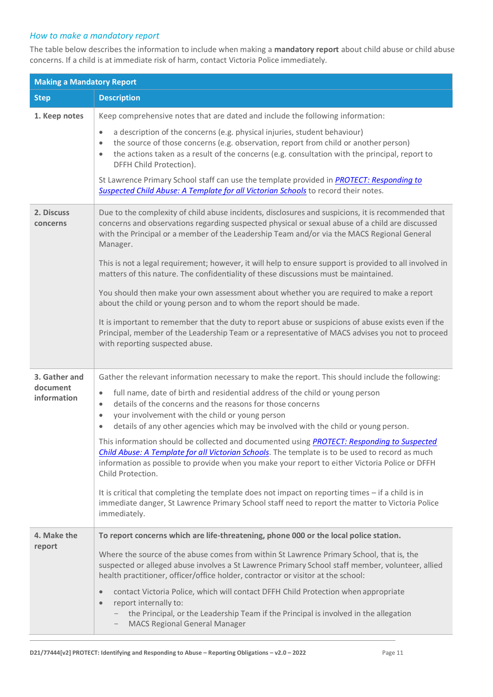# *How to make a mandatory report*

The table below describes the information to include when making a **mandatory report** about child abuse or child abuse concerns. If a child is at immediate risk of harm, contact Victoria Police immediately.

| <b>Making a Mandatory Report</b>         |                                                                                                                                                                                                                                                                                                                                                                                                                                                                                                                                                                                                                                                                                                                                                                                                                                                                                                                                                                                               |  |
|------------------------------------------|-----------------------------------------------------------------------------------------------------------------------------------------------------------------------------------------------------------------------------------------------------------------------------------------------------------------------------------------------------------------------------------------------------------------------------------------------------------------------------------------------------------------------------------------------------------------------------------------------------------------------------------------------------------------------------------------------------------------------------------------------------------------------------------------------------------------------------------------------------------------------------------------------------------------------------------------------------------------------------------------------|--|
| <b>Step</b>                              | <b>Description</b>                                                                                                                                                                                                                                                                                                                                                                                                                                                                                                                                                                                                                                                                                                                                                                                                                                                                                                                                                                            |  |
| 1. Keep notes                            | Keep comprehensive notes that are dated and include the following information:<br>a description of the concerns (e.g. physical injuries, student behaviour)<br>$\bullet$<br>the source of those concerns (e.g. observation, report from child or another person)<br>$\bullet$<br>the actions taken as a result of the concerns (e.g. consultation with the principal, report to<br>$\bullet$<br>DFFH Child Protection).<br>St Lawrence Primary School staff can use the template provided in PROTECT: Responding to<br>Suspected Child Abuse: A Template for all Victorian Schools to record their notes.                                                                                                                                                                                                                                                                                                                                                                                     |  |
| 2. Discuss<br>concerns                   | Due to the complexity of child abuse incidents, disclosures and suspicions, it is recommended that<br>concerns and observations regarding suspected physical or sexual abuse of a child are discussed<br>with the Principal or a member of the Leadership Team and/or via the MACS Regional General<br>Manager.<br>This is not a legal requirement; however, it will help to ensure support is provided to all involved in<br>matters of this nature. The confidentiality of these discussions must be maintained.<br>You should then make your own assessment about whether you are required to make a report<br>about the child or young person and to whom the report should be made.<br>It is important to remember that the duty to report abuse or suspicions of abuse exists even if the<br>Principal, member of the Leadership Team or a representative of MACS advises you not to proceed<br>with reporting suspected abuse.                                                         |  |
| 3. Gather and<br>document<br>information | Gather the relevant information necessary to make the report. This should include the following:<br>full name, date of birth and residential address of the child or young person<br>$\bullet$<br>details of the concerns and the reasons for those concerns<br>$\bullet$<br>your involvement with the child or young person<br>$\bullet$<br>details of any other agencies which may be involved with the child or young person.<br>$\bullet$<br>This information should be collected and documented using PROTECT: Responding to Suspected<br>Child Abuse: A Template for all Victorian Schools. The template is to be used to record as much<br>information as possible to provide when you make your report to either Victoria Police or DFFH<br>Child Protection.<br>It is critical that completing the template does not impact on reporting times - if a child is in<br>immediate danger, St Lawrence Primary School staff need to report the matter to Victoria Police<br>immediately. |  |
| 4. Make the<br>report                    | To report concerns which are life-threatening, phone 000 or the local police station.<br>Where the source of the abuse comes from within St Lawrence Primary School, that is, the<br>suspected or alleged abuse involves a St Lawrence Primary School staff member, volunteer, allied<br>health practitioner, officer/office holder, contractor or visitor at the school:<br>contact Victoria Police, which will contact DFFH Child Protection when appropriate<br>$\bullet$<br>report internally to:<br>$\bullet$<br>the Principal, or the Leadership Team if the Principal is involved in the allegation<br><b>MACS Regional General Manager</b>                                                                                                                                                                                                                                                                                                                                            |  |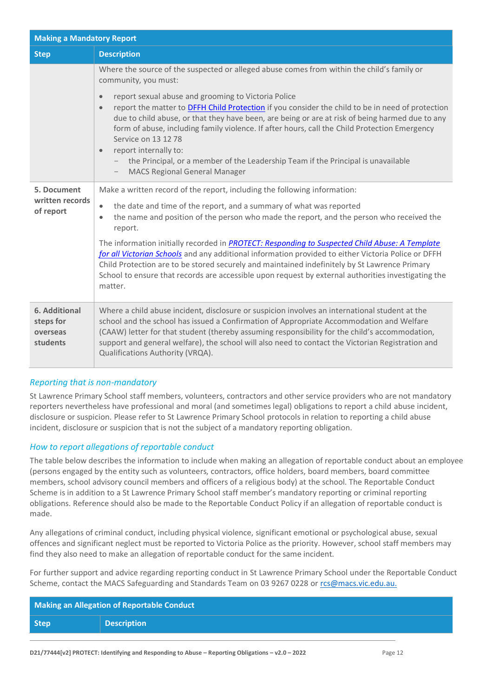| <b>Making a Mandatory Report</b>                          |                                                                                                                                                                                                                                                                                                                                                                                                                                                                                                                                                                                 |  |
|-----------------------------------------------------------|---------------------------------------------------------------------------------------------------------------------------------------------------------------------------------------------------------------------------------------------------------------------------------------------------------------------------------------------------------------------------------------------------------------------------------------------------------------------------------------------------------------------------------------------------------------------------------|--|
| <b>Step</b>                                               | <b>Description</b>                                                                                                                                                                                                                                                                                                                                                                                                                                                                                                                                                              |  |
|                                                           | Where the source of the suspected or alleged abuse comes from within the child's family or<br>community, you must:                                                                                                                                                                                                                                                                                                                                                                                                                                                              |  |
|                                                           | report sexual abuse and grooming to Victoria Police<br>$\bullet$<br>report the matter to DFFH Child Protection if you consider the child to be in need of protection<br>$\bullet$<br>due to child abuse, or that they have been, are being or are at risk of being harmed due to any<br>form of abuse, including family violence. If after hours, call the Child Protection Emergency<br>Service on 13 12 78<br>report internally to:<br>$\bullet$<br>the Principal, or a member of the Leadership Team if the Principal is unavailable<br><b>MACS Regional General Manager</b> |  |
| 5. Document                                               | Make a written record of the report, including the following information:                                                                                                                                                                                                                                                                                                                                                                                                                                                                                                       |  |
| written records<br>of report                              | the date and time of the report, and a summary of what was reported<br>$\bullet$<br>the name and position of the person who made the report, and the person who received the<br>$\bullet$<br>report.                                                                                                                                                                                                                                                                                                                                                                            |  |
|                                                           | The information initially recorded in PROTECT: Responding to Suspected Child Abuse: A Template<br>for all Victorian Schools and any additional information provided to either Victoria Police or DFFH<br>Child Protection are to be stored securely and maintained indefinitely by St Lawrence Primary<br>School to ensure that records are accessible upon request by external authorities investigating the<br>matter.                                                                                                                                                        |  |
| <b>6. Additional</b><br>steps for<br>overseas<br>students | Where a child abuse incident, disclosure or suspicion involves an international student at the<br>school and the school has issued a Confirmation of Appropriate Accommodation and Welfare<br>(CAAW) letter for that student (thereby assuming responsibility for the child's accommodation,<br>support and general welfare), the school will also need to contact the Victorian Registration and<br>Qualifications Authority (VRQA).                                                                                                                                           |  |

# *Reporting that is non-mandatory*

St Lawrence Primary School staff members, volunteers, contractors and other service providers who are not mandatory reporters nevertheless have professional and moral (and sometimes legal) obligations to report a child abuse incident, disclosure or suspicion. Please refer to St Lawrence Primary School protocols in relation to reporting a child abuse incident, disclosure or suspicion that is not the subject of a mandatory reporting obligation.

# *How to report allegations of reportable conduct*

The table below describes the information to include when making an allegation of reportable conduct about an employee (persons engaged by the entity such as volunteers, contractors, office holders, board members, board committee members, school advisory council members and officers of a religious body) at the school. The Reportable Conduct Scheme is in addition to a St Lawrence Primary School staff member's mandatory reporting or criminal reporting obligations. Reference should also be made to the Reportable Conduct Policy if an allegation of reportable conduct is made.

Any allegations of criminal conduct, including physical violence, significant emotional or psychological abuse, sexual offences and significant neglect must be reported to Victoria Police as the priority. However, school staff members may find they also need to make an allegation of reportable conduct for the same incident.

For further support and advice regarding reporting conduct in St Lawrence Primary School under the Reportable Conduct Scheme, contact the MACS Safeguarding and Standards Team on 03 9267 0228 o[r rcs@macs.vic.edu.au.](mailto:rcs@macs.vic.edu.au.)

| Making an Allegation of Reportable Conduct |                    |
|--------------------------------------------|--------------------|
| <b>Step</b>                                | <b>Description</b> |
|                                            |                    |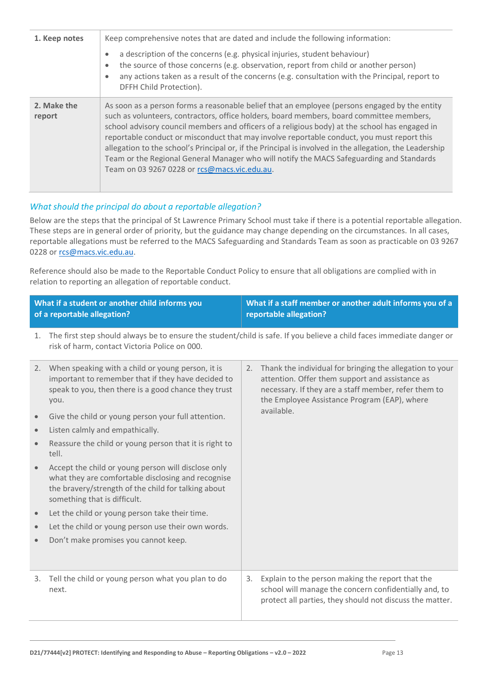| 1. Keep notes         | Keep comprehensive notes that are dated and include the following information:                                                                                                                                                                                                                                                                                                                                                                                                                                                                                                                                                                   |
|-----------------------|--------------------------------------------------------------------------------------------------------------------------------------------------------------------------------------------------------------------------------------------------------------------------------------------------------------------------------------------------------------------------------------------------------------------------------------------------------------------------------------------------------------------------------------------------------------------------------------------------------------------------------------------------|
|                       | a description of the concerns (e.g. physical injuries, student behaviour)<br>the source of those concerns (e.g. observation, report from child or another person)<br>$\bullet$<br>any actions taken as a result of the concerns (e.g. consultation with the Principal, report to<br>DFFH Child Protection).                                                                                                                                                                                                                                                                                                                                      |
| 2. Make the<br>report | As soon as a person forms a reasonable belief that an employee (persons engaged by the entity<br>such as volunteers, contractors, office holders, board members, board committee members,<br>school advisory council members and officers of a religious body) at the school has engaged in<br>reportable conduct or misconduct that may involve reportable conduct, you must report this<br>allegation to the school's Principal or, if the Principal is involved in the allegation, the Leadership<br>Team or the Regional General Manager who will notify the MACS Safeguarding and Standards<br>Team on 03 9267 0228 or rcs@macs.vic.edu.au. |

# *What should the principal do about a reportable allegation?*

Below are the steps that the principal of St Lawrence Primary School must take if there is a potential reportable allegation. These steps are in general order of priority, but the guidance may change depending on the circumstances. In all cases, reportable allegations must be referred to the MACS Safeguarding and Standards Team as soon as practicable on 03 9267 0228 or [rcs@macs.vic.edu.au.](mailto:rcs@macs.vic.edu.au)

Reference should also be made to the Reportable Conduct Policy to ensure that all obligations are complied with in relation to reporting an allegation of reportable conduct.

|           | What if a student or another child informs you<br>of a reportable allegation?                                                                                                                    |            | What if a staff member or another adult informs you of a<br>reportable allegation?                                                                                                                                  |
|-----------|--------------------------------------------------------------------------------------------------------------------------------------------------------------------------------------------------|------------|---------------------------------------------------------------------------------------------------------------------------------------------------------------------------------------------------------------------|
| 1.        | risk of harm, contact Victoria Police on 000.                                                                                                                                                    |            | The first step should always be to ensure the student/child is safe. If you believe a child faces immediate danger or                                                                                               |
|           | 2. When speaking with a child or young person, it is<br>important to remember that if they have decided to<br>speak to you, then there is a good chance they trust<br>you.                       | 2.         | Thank the individual for bringing the allegation to your<br>attention. Offer them support and assistance as<br>necessary. If they are a staff member, refer them to<br>the Employee Assistance Program (EAP), where |
| $\bullet$ | Give the child or young person your full attention.                                                                                                                                              | available. |                                                                                                                                                                                                                     |
| $\bullet$ | Listen calmly and empathically.                                                                                                                                                                  |            |                                                                                                                                                                                                                     |
| $\bullet$ | Reassure the child or young person that it is right to<br>tell.                                                                                                                                  |            |                                                                                                                                                                                                                     |
|           | Accept the child or young person will disclose only<br>what they are comfortable disclosing and recognise<br>the bravery/strength of the child for talking about<br>something that is difficult. |            |                                                                                                                                                                                                                     |
| $\bullet$ | Let the child or young person take their time.                                                                                                                                                   |            |                                                                                                                                                                                                                     |
| $\bullet$ | Let the child or young person use their own words.                                                                                                                                               |            |                                                                                                                                                                                                                     |
| $\bullet$ | Don't make promises you cannot keep.                                                                                                                                                             |            |                                                                                                                                                                                                                     |
| 3.        | Tell the child or young person what you plan to do<br>next.                                                                                                                                      | 3.         | Explain to the person making the report that the<br>school will manage the concern confidentially and, to<br>protect all parties, they should not discuss the matter.                                               |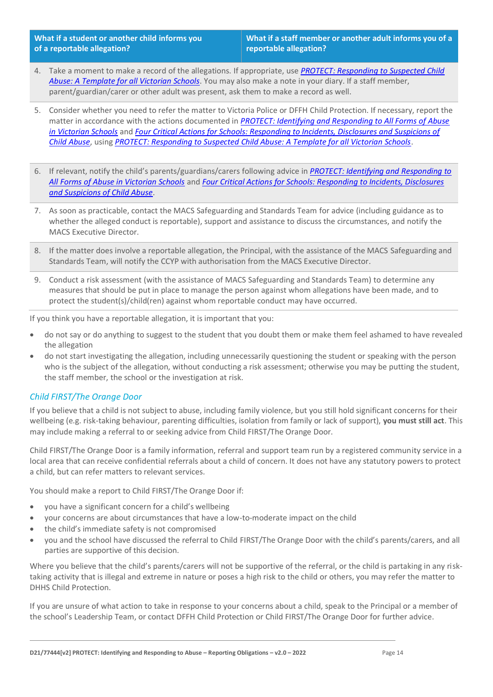**What if a student or another child informs you of a reportable allegation?**

- 4. Take a moment to make a record of the allegations. If appropriate, use *[PROTECT: Responding to Suspected Child](http://www.education.vic.gov.au/Documents/about/programs/health/protect/PROTECT_Responding_TemplateSchools.pdf)  [Abuse: A Template for all Victorian Schools](http://www.education.vic.gov.au/Documents/about/programs/health/protect/PROTECT_Responding_TemplateSchools.pdf)*. You may also make a note in your diary. If a staff member, parent/guardian/carer or other adult was present, ask them to make a record as well.
- 5. Consider whether you need to refer the matter to Victoria Police or DFFH Child Protection. If necessary, report the matter in accordance with the actions documented in *[PROTECT: Identifying and Responding to All Forms of Abuse](http://www.education.vic.gov.au/Documents/about/programs/health/protect/ChildSafeStandard5_SchoolsGuide.pdf)  [in Victorian Schools](http://www.education.vic.gov.au/Documents/about/programs/health/protect/ChildSafeStandard5_SchoolsGuide.pdf)* and *[Four Critical Actions for Schools: Responding to Incidents, Disclosures and Suspicions of](http://www.education.vic.gov.au/Documents/about/programs/health/protect/FourCriticalActions_ChildAbuse.pdf)  [Child Abuse](http://www.education.vic.gov.au/Documents/about/programs/health/protect/FourCriticalActions_ChildAbuse.pdf)*, using *[PROTECT: Responding to Suspected Child Abuse: A Template for all Victorian Schools](http://www.education.vic.gov.au/Documents/about/programs/health/protect/PROTECT_Responding_TemplateSchools.pdf)*.
- 6. If relevant, notify the child's parents/guardians/carers following advice in *[PROTECT: Identifying and Responding to](http://www.education.vic.gov.au/Documents/about/programs/health/protect/ChildSafeStandard5_SchoolsGuide.pdf)  [All Forms of Abuse in Victorian Schools](http://www.education.vic.gov.au/Documents/about/programs/health/protect/ChildSafeStandard5_SchoolsGuide.pdf)* and *[Four Critical Actions for Schools: Responding to Incidents, Disclosures](http://www.education.vic.gov.au/Documents/about/programs/health/protect/FourCriticalActions_ChildAbuse.pdf)  [and Suspicions of Child Abuse](http://www.education.vic.gov.au/Documents/about/programs/health/protect/FourCriticalActions_ChildAbuse.pdf)*.
- 7. As soon as practicable, contact the MACS Safeguarding and Standards Team for advice (including guidance as to whether the alleged conduct is reportable), support and assistance to discuss the circumstances, and notify the MACS Executive Director.
- 8. If the matter does involve a reportable allegation, the Principal, with the assistance of the MACS Safeguarding and Standards Team, will notify the CCYP with authorisation from the MACS Executive Director.
- 9. Conduct a risk assessment (with the assistance of MACS Safeguarding and Standards Team) to determine any measures that should be put in place to manage the person against whom allegations have been made, and to protect the student(s)/child(ren) against whom reportable conduct may have occurred.

If you think you have a reportable allegation, it is important that you:

- do not say or do anything to suggest to the student that you doubt them or make them feel ashamed to have revealed the allegation
- do not start investigating the allegation, including unnecessarily questioning the student or speaking with the person who is the subject of the allegation, without conducting a risk assessment; otherwise you may be putting the student, the staff member, the school or the investigation at risk.

#### *Child FIRST/The Orange Door*

If you believe that a child is not subject to abuse, including family violence, but you still hold significant concerns for their wellbeing (e.g. risk-taking behaviour, parenting difficulties, isolation from family or lack of support), **you must still act**. This may include making a referral to or seeking advice from Child FIRST/The Orange Door.

Child FIRST/The Orange Door is a family information, referral and support team run by a registered community service in a local area that can receive confidential referrals about a child of concern. It does not have any statutory powers to protect a child, but can refer matters to relevant services.

You should make a report to Child FIRST/The Orange Door if:

- you have a significant concern for a child's wellbeing
- your concerns are about circumstances that have a low-to-moderate impact on the child
- the child's immediate safety is not compromised
- you and the school have discussed the referral to Child FIRST/The Orange Door with the child's parents/carers, and all parties are supportive of this decision.

Where you believe that the child's parents/carers will not be supportive of the referral, or the child is partaking in any risktaking activity that is illegal and extreme in nature or poses a high risk to the child or others, you may refer the matter to DHHS Child Protection.

If you are unsure of what action to take in response to your concerns about a child, speak to the Principal or a member of the school's Leadership Team, or contact DFFH Child Protection or Child FIRST/The Orange Door for further advice.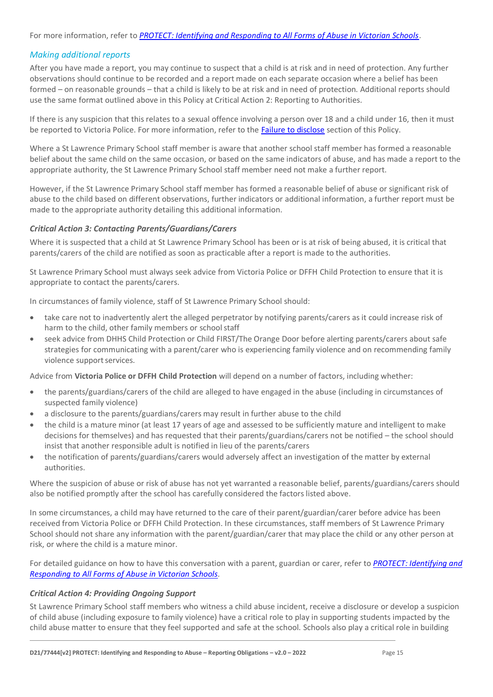# *Making additional reports*

After you have made a report, you may continue to suspect that a child is at risk and in need of protection. Any further observations should continue to be recorded and a report made on each separate occasion where a belief has been formed – on reasonable grounds – that a child is likely to be at risk and in need of protection. Additional reports should use the same format outlined above in this Policy at Critical Action 2: Reporting to Authorities.

If there is any suspicion that this relates to a sexual offence involving a person over 18 and a child under 16, then it must be reported to Victoria Police. For more information, refer to the [Failure to disclose](#page-5-0) section of this Policy.

Where a St Lawrence Primary School staff member is aware that another school staff member has formed a reasonable belief about the same child on the same occasion, or based on the same indicators of abuse, and has made a report to the appropriate authority, the St Lawrence Primary School staff member need not make a further report.

However, if the St Lawrence Primary School staff member has formed a reasonable belief of abuse or significant risk of abuse to the child based on different observations, further indicators or additional information, a further report must be made to the appropriate authority detailing this additional information.

#### *Critical Action 3: Contacting Parents/Guardians/Carers*

Where it is suspected that a child at St Lawrence Primary School has been or is at risk of being abused, it is critical that parents/carers of the child are notified as soon as practicable after a report is made to the authorities.

St Lawrence Primary School must always seek advice from Victoria Police or DFFH Child Protection to ensure that it is appropriate to contact the parents/carers.

In circumstances of family violence, staff of St Lawrence Primary School should:

- take care not to inadvertently alert the alleged perpetrator by notifying parents/carers as it could increase risk of harm to the child, other family members or school staff
- seek advice from DHHS Child Protection or Child FIRST/The Orange Door before alerting parents/carers about safe strategies for communicating with a parent/carer who is experiencing family violence and on recommending family violence support services.

Advice from **Victoria Police or DFFH Child Protection** will depend on a number of factors, including whether:

- the parents/guardians/carers of the child are alleged to have engaged in the abuse (including in circumstances of suspected family violence)
- a disclosure to the parents/guardians/carers may result in further abuse to the child
- the child is a mature minor (at least 17 years of age and assessed to be sufficiently mature and intelligent to make decisions for themselves) and has requested that their parents/guardians/carers not be notified – the school should insist that another responsible adult is notified in lieu of the parents/carers
- the notification of parents/guardians/carers would adversely affect an investigation of the matter by external authorities.

Where the suspicion of abuse or risk of abuse has not yet warranted a reasonable belief, parents/guardians/carers should also be notified promptly after the school has carefully considered the factors listed above.

In some circumstances, a child may have returned to the care of their parent/guardian/carer before advice has been received from Victoria Police or DFFH Child Protection. In these circumstances, staff members of St Lawrence Primary School should not share any information with the parent/guardian/carer that may place the child or any other person at risk, or where the child is a mature minor.

For detailed guidance on how to have this conversation with a parent, guardian or carer, refer to *[PROTECT: Identifying and](http://www.education.vic.gov.au/Documents/about/programs/health/protect/ChildSafeStandard5_SchoolsGuide.pdf)  [Responding to All Forms of Abuse in Victorian Schools.](http://www.education.vic.gov.au/Documents/about/programs/health/protect/ChildSafeStandard5_SchoolsGuide.pdf)*

#### *Critical Action 4: Providing Ongoing Support*

St Lawrence Primary School staff members who witness a child abuse incident, receive a disclosure or develop a suspicion of child abuse (including exposure to family violence) have a critical role to play in supporting students impacted by the child abuse matter to ensure that they feel supported and safe at the school. Schools also play a critical role in building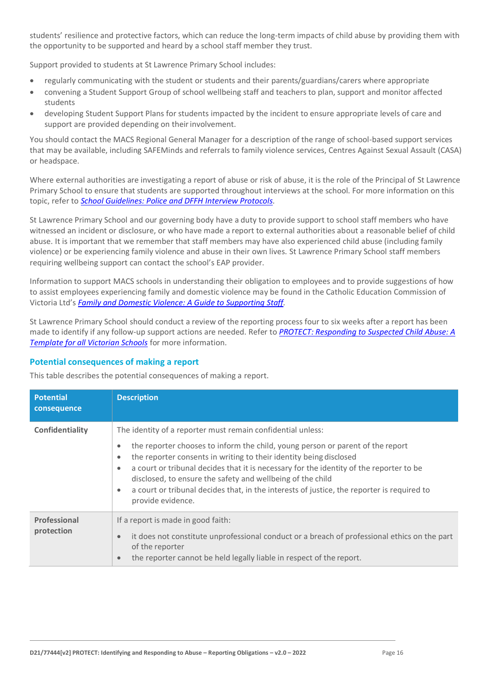students' resilience and protective factors, which can reduce the long-term impacts of child abuse by providing them with the opportunity to be supported and heard by a school staff member they trust.

Support provided to students at St Lawrence Primary School includes:

- regularly communicating with the student or students and their parents/guardians/carers where appropriate
- convening a Student Support Group of school wellbeing staff and teachers to plan, support and monitor affected students
- developing Student Support Plans for students impacted by the incident to ensure appropriate levels of care and support are provided depending on their involvement.

You should contact the MACS Regional General Manager for a description of the range of school-based support services that may be available, including SAFEMinds and referrals to family violence services, Centres Against Sexual Assault (CASA) or headspace.

Where external authorities are investigating a report of abuse or risk of abuse, it is the role of the Principal of St Lawrence Primary School to ensure that students are supported throughout interviews at the school. For more information on this topic, refer to *[School Guidelines: Police and DFFH](https://www.cem.edu.au/About-Us/Policies/Police-and-DHHS-Interview-Protocols.aspx) Interview Protocol[s.](https://www.cem.edu.au/About-Us/Policies/Police-and-DHHS-Interview-Protocols.aspx)*

St Lawrence Primary School and our governing body have a duty to provide support to school staff members who have witnessed an incident or disclosure, or who have made a report to external authorities about a reasonable belief of child abuse. It is important that we remember that staff members may have also experienced child abuse (including family violence) or be experiencing family violence and abuse in their own lives. St Lawrence Primary School staff members requiring wellbeing support can contact the school's EAP provider.

Information to support MACS schools in understanding their obligation to employees and to provide suggestions of how to assist employees experiencing family and domestic violence may be found in the Catholic Education Commission of Victoria Ltd's *[Family and Domestic Violence: A Guide to Supporting Staff](https://www.cecv.catholic.edu.au/Media-Files/IR/Policies-Guidelines/Family-Domestic-Violence/Guide-to-family-and-domestic-violence-(1).aspx)[.](http://www.cecv.catholic.edu.au/Media-Files/IR/Policies-Guidelines/Guide-to-family-and-domestic-violence.aspx)*

St Lawrence Primary School should conduct a review of the reporting process four to six weeks after a report has been made to identify if any follow-up support actions are needed. Refer to *[PROTECT: Responding to Suspected Child Abuse: A](http://www.education.vic.gov.au/Documents/about/programs/health/protect/PROTECT_Responding_TemplateSchools.pdf)  [Template for all Victorian Schools](http://www.education.vic.gov.au/Documents/about/programs/health/protect/PROTECT_Responding_TemplateSchools.pdf)* for more information.

#### **Potential consequences of making a report**

This table describes the potential consequences of making a report.

| <b>Potential</b><br>consequence | <b>Description</b>                                                                                                                                                                                                                                                                                                                                                                                                                                                                                                                                  |
|---------------------------------|-----------------------------------------------------------------------------------------------------------------------------------------------------------------------------------------------------------------------------------------------------------------------------------------------------------------------------------------------------------------------------------------------------------------------------------------------------------------------------------------------------------------------------------------------------|
| Confidentiality                 | The identity of a reporter must remain confidential unless:<br>the reporter chooses to inform the child, young person or parent of the report<br>$\bullet$<br>the reporter consents in writing to their identity being disclosed<br>$\bullet$<br>a court or tribunal decides that it is necessary for the identity of the reporter to be<br>$\bullet$<br>disclosed, to ensure the safety and wellbeing of the child<br>a court or tribunal decides that, in the interests of justice, the reporter is required to<br>$\bullet$<br>provide evidence. |
| Professional<br>protection      | If a report is made in good faith:<br>it does not constitute unprofessional conduct or a breach of professional ethics on the part<br>$\bullet$<br>of the reporter<br>the reporter cannot be held legally liable in respect of the report.<br>$\qquad \qquad \bullet$                                                                                                                                                                                                                                                                               |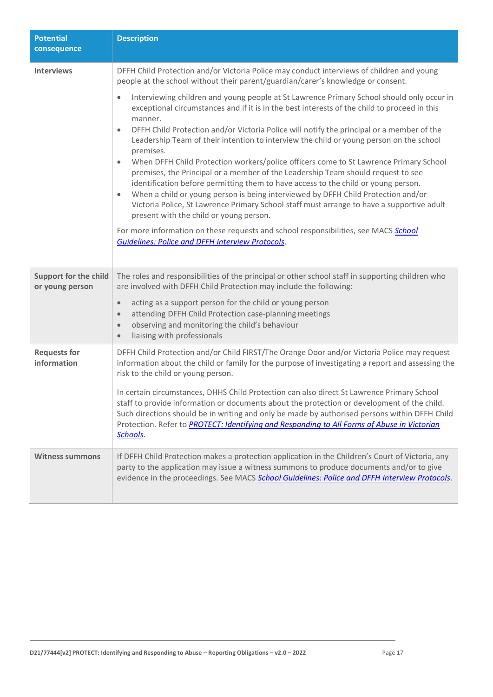| <b>Potential</b><br>consequence                 | <b>Description</b>                                                                                                                                                                                                                                                                                                                                                                                                                                                                                                                                                                                                                                                                                                                                                                                                                                                                                                                                                                                                                                   |
|-------------------------------------------------|------------------------------------------------------------------------------------------------------------------------------------------------------------------------------------------------------------------------------------------------------------------------------------------------------------------------------------------------------------------------------------------------------------------------------------------------------------------------------------------------------------------------------------------------------------------------------------------------------------------------------------------------------------------------------------------------------------------------------------------------------------------------------------------------------------------------------------------------------------------------------------------------------------------------------------------------------------------------------------------------------------------------------------------------------|
| <b>Interviews</b>                               | DFFH Child Protection and/or Victoria Police may conduct interviews of children and young<br>people at the school without their parent/guardian/carer's knowledge or consent.                                                                                                                                                                                                                                                                                                                                                                                                                                                                                                                                                                                                                                                                                                                                                                                                                                                                        |
|                                                 | Interviewing children and young people at St Lawrence Primary School should only occur in<br>$\bullet$<br>exceptional circumstances and if it is in the best interests of the child to proceed in this<br>manner.<br>DFFH Child Protection and/or Victoria Police will notify the principal or a member of the<br>$\bullet$<br>Leadership Team of their intention to interview the child or young person on the school<br>premises.<br>When DFFH Child Protection workers/police officers come to St Lawrence Primary School<br>$\bullet$<br>premises, the Principal or a member of the Leadership Team should request to see<br>identification before permitting them to have access to the child or young person.<br>When a child or young person is being interviewed by DFFH Child Protection and/or<br>$\bullet$<br>Victoria Police, St Lawrence Primary School staff must arrange to have a supportive adult<br>present with the child or young person.<br>For more information on these requests and school responsibilities, see MACS School |
|                                                 | <b>Guidelines: Police and DFFH Interview Protocols.</b>                                                                                                                                                                                                                                                                                                                                                                                                                                                                                                                                                                                                                                                                                                                                                                                                                                                                                                                                                                                              |
| <b>Support for the child</b><br>or young person | The roles and responsibilities of the principal or other school staff in supporting children who<br>are involved with DFFH Child Protection may include the following:                                                                                                                                                                                                                                                                                                                                                                                                                                                                                                                                                                                                                                                                                                                                                                                                                                                                               |
|                                                 | acting as a support person for the child or young person<br>$\bullet$<br>attending DFFH Child Protection case-planning meetings<br>$\bullet$<br>observing and monitoring the child's behaviour<br>$\bullet$<br>liaising with professionals<br>$\bullet$                                                                                                                                                                                                                                                                                                                                                                                                                                                                                                                                                                                                                                                                                                                                                                                              |
| <b>Requests for</b><br>information              | DFFH Child Protection and/or Child FIRST/The Orange Door and/or Victoria Police may request<br>information about the child or family for the purpose of investigating a report and assessing the<br>risk to the child or young person.                                                                                                                                                                                                                                                                                                                                                                                                                                                                                                                                                                                                                                                                                                                                                                                                               |
|                                                 | In certain circumstances, DHHS Child Protection can also direct St Lawrence Primary School<br>staff to provide information or documents about the protection or development of the child.<br>Such directions should be in writing and only be made by authorised persons within DFFH Child<br>Protection. Refer to PROTECT: Identifying and Responding to All Forms of Abuse in Victorian<br>Schools.                                                                                                                                                                                                                                                                                                                                                                                                                                                                                                                                                                                                                                                |
| <b>Witness summons</b>                          | If DFFH Child Protection makes a protection application in the Children's Court of Victoria, any<br>party to the application may issue a witness summons to produce documents and/or to give<br>evidence in the proceedings. See MACS School Guidelines: Police and DFFH Interview Protocols.                                                                                                                                                                                                                                                                                                                                                                                                                                                                                                                                                                                                                                                                                                                                                        |